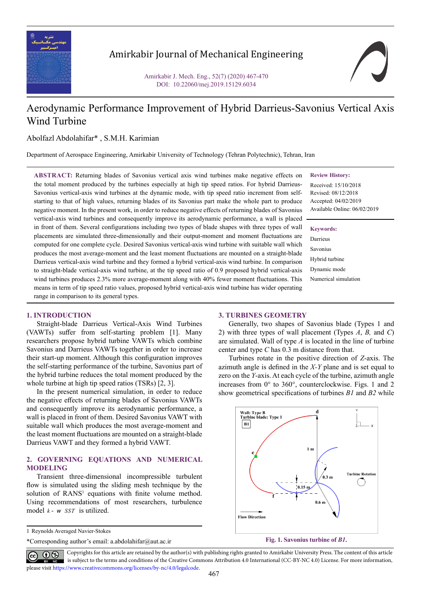

# Amirkabir Journal of Mechanical Engineering

Amirkabir J. Mech. Eng., 52(7) (2020) 467-470 DOI: 10.22060/mej.2019.15129.6034



# Aerodynamic Performance Improvement of Hybrid Darrieus-Savonius Vertical Axis Wind Turbine

Abolfazl Abdolahifar\* , S.M.H. Karimian

Department of Aerospace Engineering, Amirkabir University of Technology (Tehran Polytechnic), Tehran, Iran

**ABSTRACT:** Returning blades of Savonius vertical axis wind turbines make negative effects on the total moment produced by the turbines especially at high tip speed ratios. For hybrid Darrieus-Savonius vertical-axis wind turbines at the dynamic mode, with tip speed ratio increment from selfstarting to that of high values, returning blades of its Savonius part make the whole part to produce negative moment. In the present work, in order to reduce negative effects of returning blades of Savonius vertical-axis wind turbines and consequently improve its aerodynamic performance, a wall is placed in front of them. Several configurations including two types of blade shapes with three types of wall placements are simulated three-dimensionally and their output-moment and moment fluctuations are computed for one complete cycle. Desired Savonius vertical-axis wind turbine with suitable wall which produces the most average-moment and the least moment fluctuations are mounted on a straight-blade Darrieus vertical-axis wind turbine and they formed a hybrid vertical-axis wind turbine. In comparison to straight-blade vertical-axis wind turbine, at the tip speed ratio of 0.9 proposed hybrid vertical-axis wind turbines produces 2.3% more average-moment along with 40% fewer moment fluctuations. This means in term of tip speed ratio values, proposed hybrid vertical-axis wind turbine has wider operating range in comparison to its general types.

#### **Review History:**

Received: 15/10/2018 Revised: 08/12/2018 Accepted: 04/02/2019 Available Online: 06/02/2019

## **Keywords:**

Darrieus Savonius Hybrid turbine Dynamic mode Numerical simulation

#### **1. INTRODUCTION**

Straight-blade Darrieus Vertical-Axis Wind Turbines (VAWTs) suffer from self-starting problem [1]. Many researchers propose hybrid turbine VAWTs which combine Savonius and Darrieus VAWTs together in order to increase their start-up moment. Although this configuration improves the self-starting performance of the turbine, Savonius part of the hybrid turbine reduces the total moment produced by the whole turbine at high tip speed ratios (TSRs) [2, 3].

In the present numerical simulation, in order to reduce the negative effects of returning blades of Savonius VAWTs and consequently improve its aerodynamic performance, a wall is placed in front of them. Desired Savonius VAWT with suitable wall which produces the most average-moment and the least moment fluctuations are mounted on a straight-blade Darrieus VAWT and they formed a hybrid VAWT.

## **2. GOVERNING EQUATIONS AND NUMERICAL MODELING**

Transient three-dimensional incompressible turbulent flow is simulated using the sliding mesh technique by the solution of RANS<sup>1</sup> equations with finite volume method. Using recommendations of most researchers, turbulence model  $k - w$  *SST* is utilized.

1 Reynolds Averaged Navier-Stokes

\*Corresponding author's email: a.abdolahifar@aut.ac.ir

#### **3. TURBINES GEOMETRY**

Generally, two shapes of Savonius blade (Types 1 and 2) with three types of wall placement (Types *A*, *B,* and *C*) are simulated. Wall of type *A* is located in the line of turbine center and type *C* has 0.3 m distance from that.

Turbines rotate in the positive direction of *Z*-axis. The azimuth angle is defined in the *X-Y* plane and is set equal to zero on the *Y*-axis. At each cycle of the turbine, azimuth angle increases from 0° to 360°, counterclockwise. Figs. 1 and 2 show geometrical specifications of turbines *B1* and *B2* while



Copyrights for this article are retained by the author(s) with publishing rights granted to Amirkabir University Press. The content of this article is subject to the terms and conditions of the Creative Commons Attribution 4.0 International (CC-BY-NC 4.0) License. For more information, please visit https://www.creativecommons.org/licenses/by-nc/4.0/legalcode.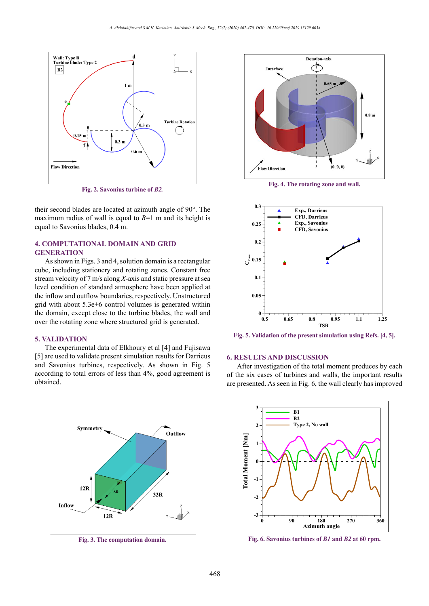

**Fig. 2. Savonius turbine of** *B2.* **Fig. 2. Savonius turbine of** *B2.*

their second blades are located at azimuth angle of 90°. The maximum radius of wall is equal to  $R=1$  m and its height is equal to Savonius blades, 0.4 m.

## **4. COMPUTATIONAL DOMAIN AND GRID GENERATION**

As shown in Figs. 3 and 4, solution domain is a rectangular cube, including stationery and rotating zones. Constant free stream velocity of 7 m/s along *X*-axis and static pressure at sea level condition of standard atmosphere have been applied at the inflow and outflow boundaries, respectively. Unstructured grid with about 5.3e+6 control volumes is generated within the domain, except close to the turbine blades, the wall and over the rotating zone where structured grid is generated.

#### **5. VALIDATION**

The experimental data of Elkhoury et al [4] and Fujisawa [5] are used to validate present simulation results for Darrieus and Savonius turbines, respectively. As shown in Fig. 5 according to total errors of less than 4%, good agreement is obtained.



**Fig. 3. The computation domain. Fig. 3. The computation domain.**



**Fig. 4. The rotating zone and wall. Fig. 4. The rotating zone and wall.**



**Fig. 5. Validation of the present simulation using Refs. [4, 5]. Fig. 5. Validation of the present simulation using Refs. [4, 5].**

### **6. RESULTS AND DISCUSSION**

After investigation of the total moment produces by each of the six cases of turbines and walls, the important results are presented. As seen in Fig. 6, the wall clearly has improved



**Fig. 6. Savonius turbines of** *B1* **and** *B2* **at 60 rpm. Fig. 6. Savonius turbines of** *B1* **and** *B2* **at 60 rpm.**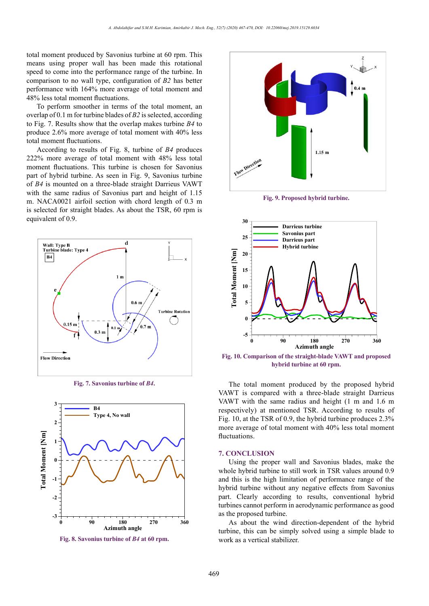total moment produced by Savonius turbine at 60 rpm. This means using proper wall has been made this rotational speed to come into the performance range of the turbine. In comparison to no wall type, configuration of *B2* has better performance with 164% more average of total moment and 48% less total moment fluctuations.

To perform smoother in terms of the total moment, an overlap of 0.1 m for turbine blades of *B2* is selected, according to Fig. 7. Results show that the overlap makes turbine *B4* to produce 2.6% more average of total moment with 40% less total moment fluctuations.

According to results of Fig. 8, turbine of *B4* produces 222% more average of total moment with 48% less total moment fluctuations. This turbine is chosen for Savonius part of hybrid turbine. As seen in Fig. 9, Savonius turbine of *B4* is mounted on a three-blade straight Darrieus VAWT with the same radius of Savonius part and height of 1.15 m. NACA0021 airfoil section with chord length of 0.3 m is selected for straight blades. As about the TSR, 60 rpm is equivalent of 0.9.



**Fig. 7. Savonius turbine of** *B4***. Fig. 7. Savonius turbine of** *B4***.**



**Fig. 8. Savonius turbine of** *B4* **at 60 rpm.**



**Fig. 9. Proposed hybrid turbine. Fig. 9. Proposed hybrid turbine.**



**Fig. 10. Comparison of the straight-blade VAWT and proposed hybrid turbine at 60 rpm. Fig. 10. Comparison of the straight-blade VAWT and proposed** 

The total moment produced by the proposed hybrid VAWT is compared with a three-blade straight Darrieus VAWT with the same radius and height (1 m and 1.6 m respectively) at mentioned TSR. According to results of Fig. 10, at the TSR of 0.9, the hybrid turbine produces 2.3% more average of total moment with 40% less total moment fluctuations.

#### **7. CONCLUSION**

Using the proper wall and Savonius blades, make the whole hybrid turbine to still work in TSR values around 0.9 and this is the high limitation of performance range of the hybrid turbine without any negative effects from Savonius part. Clearly according to results, conventional hybrid turbines cannot perform in aerodynamic performance as good as the proposed turbine.

**Fig. 8. Samuel Conventional Stabilizer. 8. Samuel Conventional Stabilizer.** As about the wind direction-dependent of the hybrid turbine, this can be simply solved using a simple blade to